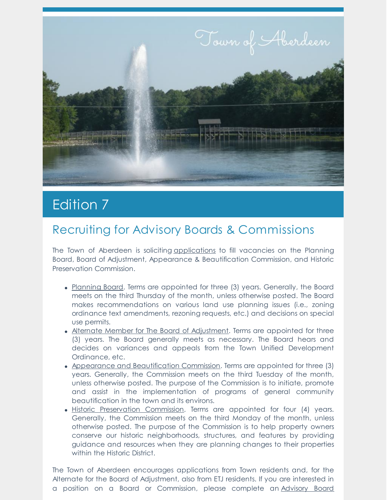

# **Edition 7**

## Recruiting for Advisory Boards & Commissions

The Town of Aberdeen is soliciting [applications](http://townofaberdeen.net/docview.aspx?docid=1565) to fill vacancies on the Planning Board, Board of Adjustment, Appearance & Beautification Commission, and Historic Preservation Commission.

- [Planning](https://www.townofaberdeen.net/pview.aspx?id=2063&catID=29) Board. Terms are appointed for three (3) years. Generally, the Board meets on the third Thursday of the month, unless otherwise posted. The Board makes recommendations on various land use planning issues (i.e., zoning ordinance text amendments, rezoning requests, etc.) and decisions on special use permits.
- Alternate Member for The Board of [Adjustment](https://www.townofaberdeen.net/pview.aspx?id=4186&catid=29). Terms are appointed for three (3) years. The Board generally meets as necessary. The Board hears and decides on variances and appeals from the Town Unified Development Ordinance, etc.
- Appearance and [Beautification](https://www.townofaberdeen.net/pview.aspx?id=2067&catid=29) Commission. Terms are appointed for three (3) years. Generally, the Commission meets on the third Tuesday of the month, unless otherwise posted. The purpose of the Commission is to initiate, promote and assist in the implementation of programs of general community beautification in the town and its environs.
- Historic [Preservation](https://www.townofaberdeen.net/pview.aspx?id=2067&catid=29) Commission. Terms are appointed for four (4) years. Generally, the Commission meets on the third Monday of the month, unless otherwise posted. The purpose of the Commission is to help property owners conserve our historic neighborhoods, structures, and features by providing guidance and resources when they are planning changes to their properties within the Historic District.

The Town of Aberdeen encourages applications from Town residents and, for the Alternate for the Board of Adjustment, also from ETJ residents. If you are interested in a position on a Board or [Commission,](https://www.townofaberdeen.net/docview.aspx?docid=1565) please complete an Advisory Board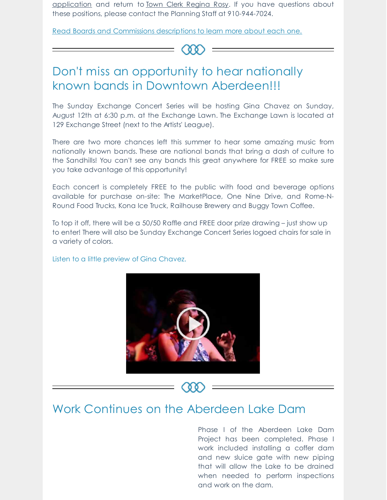application and return to Town Clerk [Regina](mailto:rrosy@townofaberdeen.net) Rosy. If you have questions about these positions, please contact the Planning Staff at 910-944-7024.

Read Boards and [Commissions](https://www.townofaberdeen.net/pview.aspx?id=1924&catid=29) descriptions to learn more about each one.

#### $(\Omega)$

#### Don't miss an opportunity to hear nationally known bands in Downtown Aberdeen!!!

The Sunday Exchange Concert Series will be hosting Gina Chavez on Sunday, August 12th at 6:30 p.m. at the Exchange Lawn. The Exchange Lawn is located at 129 Exchange Street (next to the Artists' League).

There are two more chances left this summer to hear some amazing music from nationally known bands. These are national bands that bring a dash of culture to the Sandhills! You can't see any bands this great anywhere for FREE so make sure you take advantage of this opportunity!

Each concert is completely FREE to the public with food and beverage options available for purchase on-site: The MarketPlace, One Nine Drive, and Rome-N-Round Food Trucks, Kona Ice Truck, Railhouse Brewery and Buggy Town Coffee.

To top it off, there will be a 50/50 Raffle and FREE door prize drawing – just show up to enter! There will also be Sunday Exchange Concert Series logoed chairs for sale in a variety of colors.

Listen to a little preview of Gina Chavez.



#### Work Continues on the Aberdeen Lake Dam

Phase I of the Aberdeen Lake Dam Project has been completed. Phase I work included installing a coffer dam and new sluice gate with new piping that will allow the Lake to be drained when needed to perform inspections and work on the dam.